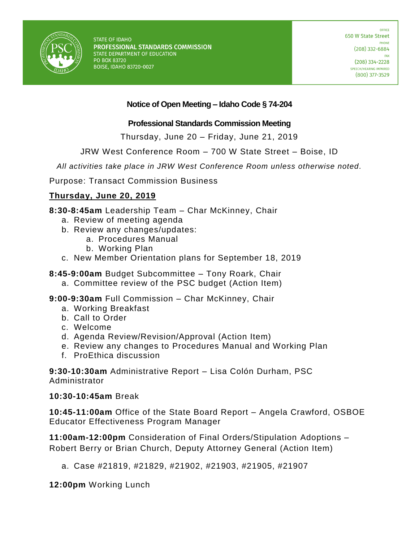

# **Notice of Open Meeting – Idaho Code § 74-204**

## **Professional Standards Commission Meeting**

Thursday, June 20 – Friday, June 21, 2019

JRW West Conference Room – 700 W State Street – Boise, ID

*All activities take place in JRW West Conference Room unless otherwise noted.*

Purpose: Transact Commission Business

# **Thursday, June 20, 2019**

**8:30-8:45am** Leadership Team – Char McKinney, Chair

- a. Review of meeting agenda
- b. Review any changes/updates:
	- a. Procedures Manual
	- b. Working Plan
- c. New Member Orientation plans for September 18, 2019
- **8:45-9:00am** Budget Subcommittee Tony Roark, Chair
	- a. Committee review of the PSC budget (Action Item)

**9:00-9:30am** Full Commission – Char McKinney, Chair

- a. Working Breakfast
- b. Call to Order
- c. Welcome
- d. Agenda Review/Revision/Approval (Action Item)
- e. Review any changes to Procedures Manual and Working Plan
- f. ProEthica discussion

**9:30-10:30am** Administrative Report – Lisa Colón Durham, PSC Administrator

#### **10:30-10:45am** Break

**10:45-11:00am** Office of the State Board Report – Angela Crawford, OSBOE Educator Effectiveness Program Manager

**11:00am-12:00pm** Consideration of Final Orders/Stipulation Adoptions – Robert Berry or Brian Church, Deputy Attorney General (Action Item)

a. Case #21819, #21829, #21902, #21903, #21905, #21907

**12:00pm** Working Lunch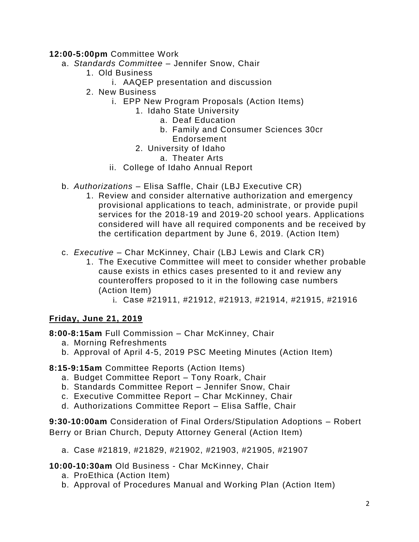## **12:00-5:00pm** Committee Work

- a. *Standards Committee* Jennifer Snow, Chair
	- 1. Old Business
		- i. AAQEP presentation and discussion
	- 2. New Business
		- i. EPP New Program Proposals (Action Items)
			- 1. Idaho State University
				- a. Deaf Education
				- b. Family and Consumer Sciences 30cr
					- Endorsement
				- 2. University of Idaho
					- a. Theater Arts
		- ii. College of Idaho Annual Report
- b. *Authorizations*  Elisa Saffle, Chair (LBJ Executive CR)
	- 1. Review and consider alternative authorization and emergency provisional applications to teach, administrate, or provide pupil services for the 2018-19 and 2019-20 school years. Applications considered will have all required components and be received by the certification department by June 6, 2019. (Action Item)
- c. *Executive* Char McKinney, Chair (LBJ Lewis and Clark CR)
	- 1. The Executive Committee will meet to consider whether probable cause exists in ethics cases presented to it and review any counteroffers proposed to it in the following case numbers (Action Item)
		- i. Case #21911, #21912, #21913, #21914, #21915, #21916

# **Friday, June 21, 2019**

**8:00-8:15am** Full Commission – Char McKinney, Chair

- a. Morning Refreshments
- b. Approval of April 4-5, 2019 PSC Meeting Minutes (Action Item)

**8:15-9:15am** Committee Reports (Action Items)

- a. Budget Committee Report Tony Roark, Chair
- b. Standards Committee Report Jennifer Snow, Chair
- c. Executive Committee Report Char McKinney, Chair
- d. Authorizations Committee Report Elisa Saffle, Chair

**9:30-10:00am** Consideration of Final Orders/Stipulation Adoptions – Robert Berry or Brian Church, Deputy Attorney General (Action Item)

a. Case #21819, #21829, #21902, #21903, #21905, #21907

**10:00-10:30am** Old Business - Char McKinney, Chair

- a. ProEthica (Action Item)
- b. Approval of Procedures Manual and Working Plan (Action Item)